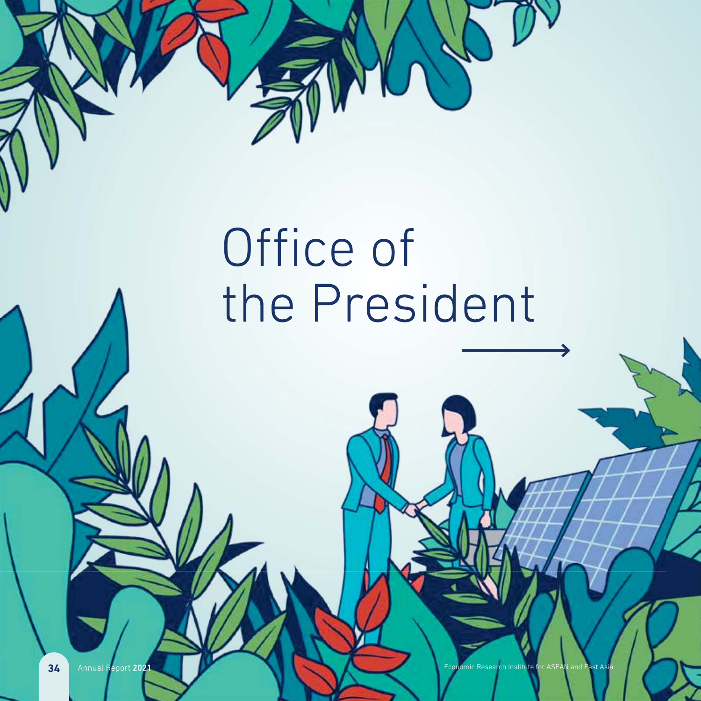

# Office of the President

**34** Annual Report 2021 Economic Research Institute for ASEAN and East Asia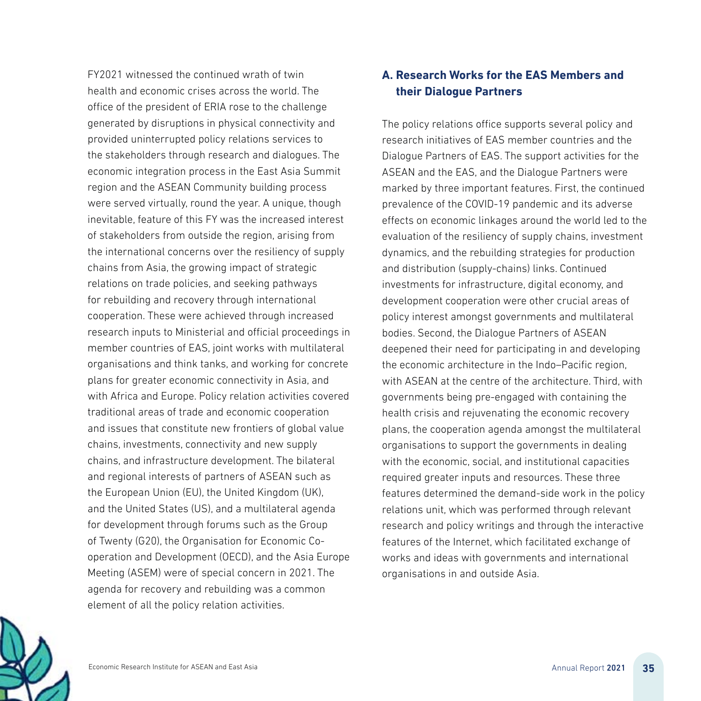FY2021 witnessed the continued wrath of twin health and economic crises across the world. The office of the president of ERIA rose to the challenge generated by disruptions in physical connectivity and provided uninterrupted policy relations services to the stakeholders through research and dialogues. The economic integration process in the East Asia Summit region and the ASEAN Community building process were served virtually, round the year. A unique, though inevitable, feature of this FY was the increased interest of stakeholders from outside the region, arising from the international concerns over the resiliency of supply chains from Asia, the growing impact of strategic relations on trade policies, and seeking pathways rel for rebuilding and recovery through international for cooperation. These were achieved through increased coo research inputs to Ministerial and official proceedings in res member countries of EAS, joint works with multilateral me organisations and think tanks, and working for concrete plans for greater economic connectivity in Asia, and pla with Africa and Europe. Policy relation activities covered wit traditional areas of trade and economic cooperation tra and issues that constitute new frontiers of global value an chains, investments, connectivity and new supply cha chains, and infrastructure development. The bilateral cha and regional interests of partners of ASEAN such as an the European Union (EU), the United Kingdom (UK), the and the United States (US), and a multilateral agenda an for development through forums such as the Group of Twenty (G20), the Organisation for Economic Co-T operation and Development (OECD), and the Asia Europe ope Meeting (ASEM) were of special concern in 2021. The Me agenda for recovery and rebuilding was a common age element of all the policy relation activities. ele

## **A. Research Works for the EAS Members and their Dialogue Partners**

The policy relations office supports several policy and research initiatives of EAS member countries and the Dialogue Partners of EAS. The support activities for the ASEAN and the EAS, and the Dialogue Partners were marked by three important features. First, the continued prevalence of the COVID-19 pandemic and its adverse effects on economic linkages around the world led to the evaluation of the resiliency of supply chains, investment dynamics, and the rebuilding strategies for production and distribution (supply-chains) links. Continued investments for infrastructure, digital economy, and development cooperation were other crucial areas of policy interest amongst governments and multilateral bodies. Second, the Dialogue Partners of ASEAN deepened their need for participating in and developing the economic architecture in the Indo–Pacific region, with ASEAN at the centre of the architecture. Third, with governments being pre-engaged with containing the health crisis and rejuvenating the economic recovery plans, the cooperation agenda amongst the multilateral organisations to support the governments in dealing with the economic, social, and institutional capacities required greater inputs and resources. These three features determined the demand-side work in the policy relations unit, which was performed through relevant research and policy writings and through the interactive features of the Internet, which facilitated exchange of works and ideas with governments and international organisations in and outside Asia.

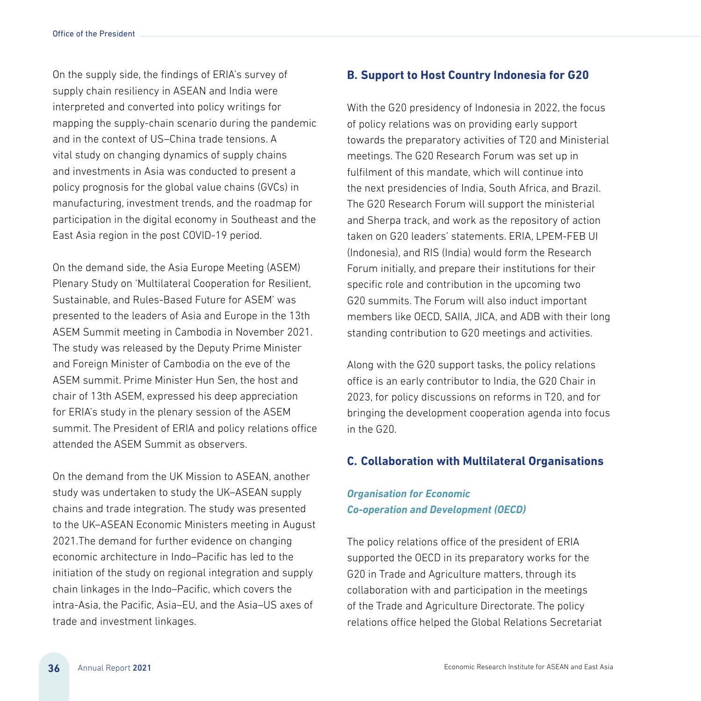On the supply side, the findings of ERIA's survey of supply chain resiliency in ASEAN and India were interpreted and converted into policy writings for mapping the supply-chain scenario during the pandemic and in the context of US–China trade tensions. A vital study on changing dynamics of supply chains and investments in Asia was conducted to present a policy prognosis for the global value chains (GVCs) in manufacturing, investment trends, and the roadmap for participation in the digital economy in Southeast and the East Asia region in the post COVID-19 period.

On the demand side, the Asia Europe Meeting (ASEM) Plenary Study on 'Multilateral Cooperation for Resilient, Sustainable, and Rules-Based Future for ASEM' was presented to the leaders of Asia and Europe in the 13th ASEM Summit meeting in Cambodia in November 2021. The study was released by the Deputy Prime Minister and Foreign Minister of Cambodia on the eve of the ASEM summit. Prime Minister Hun Sen, the host and chair of 13th ASEM, expressed his deep appreciation for ERIA's study in the plenary session of the ASEM summit. The President of ERIA and policy relations office attended the ASEM Summit as observers.

On the demand from the UK Mission to ASEAN, another study was undertaken to study the UK–ASEAN supply chains and trade integration. The study was presented to the UK–ASEAN Economic Ministers meeting in August 2021.The demand for further evidence on changing economic architecture in Indo–Pacific has led to the initiation of the study on regional integration and supply chain linkages in the Indo–Pacific, which covers the intra-Asia, the Pacific, Asia–EU, and the Asia–US axes of trade and investment linkages.

#### **B. Support to Host Country Indonesia for G20**

With the G20 presidency of Indonesia in 2022, the focus of policy relations was on providing early support towards the preparatory activities of T20 and Ministerial meetings. The G20 Research Forum was set up in fulfilment of this mandate, which will continue into the next presidencies of India, South Africa, and Brazil. The G20 Research Forum will support the ministerial and Sherpa track, and work as the repository of action taken on G20 leaders' statements. ERIA, LPEM-FEB UI (Indonesia), and RIS (India) would form the Research Forum initially, and prepare their institutions for their specific role and contribution in the upcoming two G20 summits. The Forum will also induct important members like OECD, SAIIA, JICA, and ADB with their long standing contribution to G20 meetings and activities.

Along with the G20 support tasks, the policy relations office is an early contributor to India, the G20 Chair in 2023, for policy discussions on reforms in T20, and for bringing the development cooperation agenda into focus in the G20.

#### **C. Collaboration with Multilateral Organisations**

## *Organisation for Economic Co-operation and Development (OECD)*

The policy relations office of the president of ERIA supported the OECD in its preparatory works for the G20 in Trade and Agriculture matters, through its collaboration with and participation in the meetings of the Trade and Agriculture Directorate. The policy relations office helped the Global Relations Secretariat